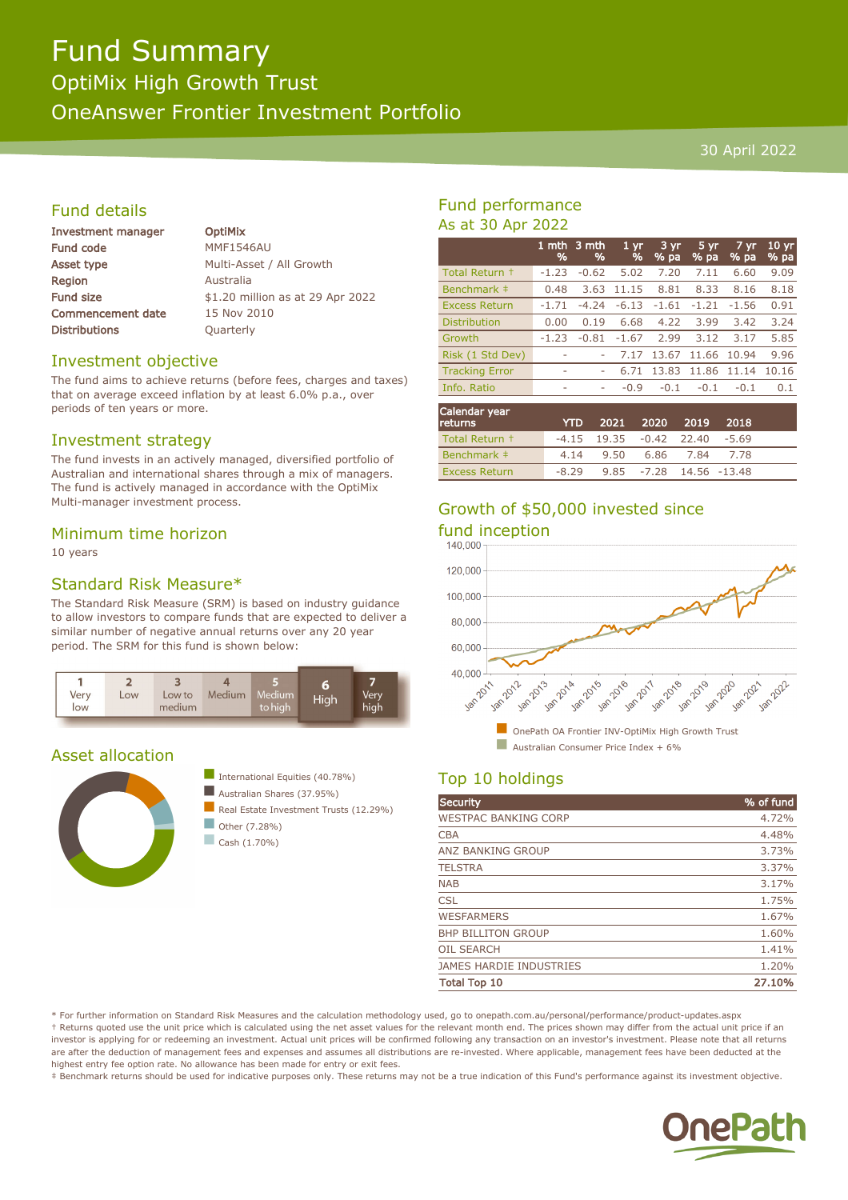# Fund Summary

OptiMix High Growth Trust

OneAnswer Frontier Investment Portfolio

#### 30 April 2022

#### Fund details

| Investment manager       |  |
|--------------------------|--|
| <b>Fund code</b>         |  |
| Asset type               |  |
| Region                   |  |
| <b>Fund size</b>         |  |
| <b>Commencement date</b> |  |
| <b>Distributions</b>     |  |

**OptiMix MMF1546AU** Multi-Asset / All Growth **Australia** \$1.20 million as at 29 Apr 2022 15 Nov 2010 Quarterly

#### Investment objective

The fund aims to achieve returns (before fees, charges and taxes) that on average exceed inflation by at least 6.0% p.a., over periods of ten years or more.

#### Investment strategy

The fund invests in an actively managed, diversified portfolio of Australian and international shares through a mix of managers. The fund is actively managed in accordance with the OptiMix Multi-manager investment process.

#### Minimum time horizon

10 years

#### Standard Risk Measure\*

The Standard Risk Measure (SRM) is based on industry guidance to allow investors to compare funds that are expected to deliver a similar number of negative annual returns over any 20 year period. The SRM for this fund is shown below:



#### Asset allocation





 $\Box$  Cash (1.70%)

#### Fund performance As at 30 Apr 2022

|                       | 1 mth<br>% | 3 mth<br>% | 1 <sub>yr</sub><br>% | $3 \, yr$<br>$%$ pa | 5 yr<br>$%$ pa | 7 yr<br>% pa | 10 <sub>yr</sub><br>% pa |
|-----------------------|------------|------------|----------------------|---------------------|----------------|--------------|--------------------------|
| Total Return +        | $-1.23$    | $-0.62$    | 5.02                 | 7.20                | 7.11           | 6.60         | 9.09                     |
| Benchmark ‡           | 0.48       | 3.63       | 11.15                | 8.81                | 8.33           | 8.16         | 8.18                     |
| <b>Excess Return</b>  | $-1.71$    | $-4.74$    | $-6.13$              | $-1.61$             | $-1.21$        | $-1.56$      | 0.91                     |
| <b>Distribution</b>   | 0.00       | 0.19       | 6.68                 | 4.22                | 3.99           | 3.42         | 3.24                     |
| Growth                | $-1.23$    | $-0.81$    | $-1.67$              | 2.99                | 3.12           | 3.17         | 5.85                     |
| Risk (1 Std Dev)      | ۰          |            | 7.17                 | 13.67               | 11.66          | 10.94        | 9.96                     |
| <b>Tracking Error</b> | ٠          |            | 6.71                 | 13.83               | 11.86          | 11.14        | 10.16                    |
| Info. Ratio           | ٠          | ٠          | $-0.9$               | $-0.1$              | $-0.1$         | $-0.1$       | 0.1                      |
|                       |            |            |                      |                     |                |              |                          |

| Calendar year<br><b>returns</b> | <b>YTD</b> |                                     | 2021 2020 2019          | 2018 |  |
|---------------------------------|------------|-------------------------------------|-------------------------|------|--|
| Total Return +                  |            | $-4.15$ 19.35 $-0.42$ 22.40 $-5.69$ |                         |      |  |
| Benchmark #                     |            | 4.14 9.50 6.86 7.84 7.78            |                         |      |  |
| <b>Excess Return</b>            | $-8.29$    |                                     | 9.85 -7.28 14.56 -13.48 |      |  |

## Growth of \$50,000 invested since



## Top 10 holdings

| <b>Security</b>                | % of fund |
|--------------------------------|-----------|
| <b>WESTPAC BANKING CORP</b>    | 4.72%     |
| <b>CBA</b>                     | 4.48%     |
| ANZ BANKING GROUP              | 3.73%     |
| <b>TELSTRA</b>                 | 3.37%     |
| <b>NAB</b>                     | 3.17%     |
| <b>CSL</b>                     | 1.75%     |
| <b>WESFARMERS</b>              | 1.67%     |
| <b>BHP BILLITON GROUP</b>      | 1.60%     |
| <b>OIL SEARCH</b>              | 1.41%     |
| <b>JAMES HARDIE INDUSTRIES</b> | 1.20%     |
| <b>Total Top 10</b>            | 27.10%    |

\* For further information on Standard Risk Measures and the calculation methodology used, go to onepath.com.au/personal/performance/product-updates.aspx † Returns quoted use the unit price which is calculated using the net asset values for the relevant month end. The prices shown may differ from the actual unit price if an investor is applying for or redeeming an investment. Actual unit prices will be confirmed following any transaction on an investor's investment. Please note that all returns are after the deduction of management fees and expenses and assumes all distributions are re-invested. Where applicable, management fees have been deducted at the highest entry fee option rate. No allowance has been made for entry or exit fees.

‡ Benchmark returns should be used for indicative purposes only. These returns may not be a true indication of this Fund's performance against its investment objective.